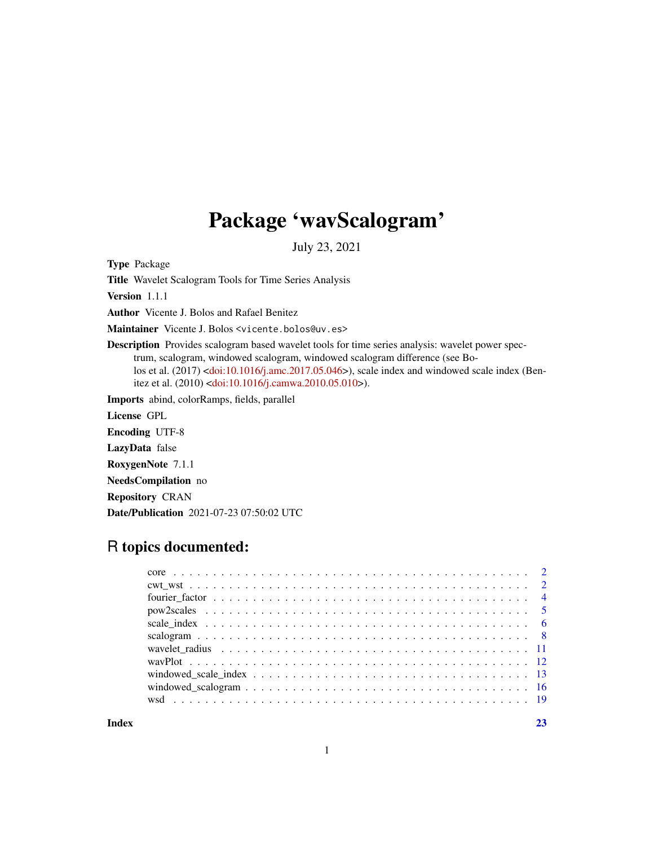## Package 'wavScalogram'

July 23, 2021

Type Package

Title Wavelet Scalogram Tools for Time Series Analysis

Version 1.1.1

Author Vicente J. Bolos and Rafael Benitez

Maintainer Vicente J. Bolos <vicente.bolos@uv.es>

Description Provides scalogram based wavelet tools for time series analysis: wavelet power spectrum, scalogram, windowed scalogram, windowed scalogram difference (see Bo-los et al. (2017) [<doi:10.1016/j.amc.2017.05.046>](https://doi.org/10.1016/j.amc.2017.05.046)), scale index and windowed scale index (Benitez et al. (2010) [<doi:10.1016/j.camwa.2010.05.010>](https://doi.org/10.1016/j.camwa.2010.05.010)).

Imports abind, colorRamps, fields, parallel

License GPL

Encoding UTF-8

LazyData false

RoxygenNote 7.1.1

NeedsCompilation no

Repository CRAN

Date/Publication 2021-07-23 07:50:02 UTC

## R topics documented:

**Index** [23](#page-22-0)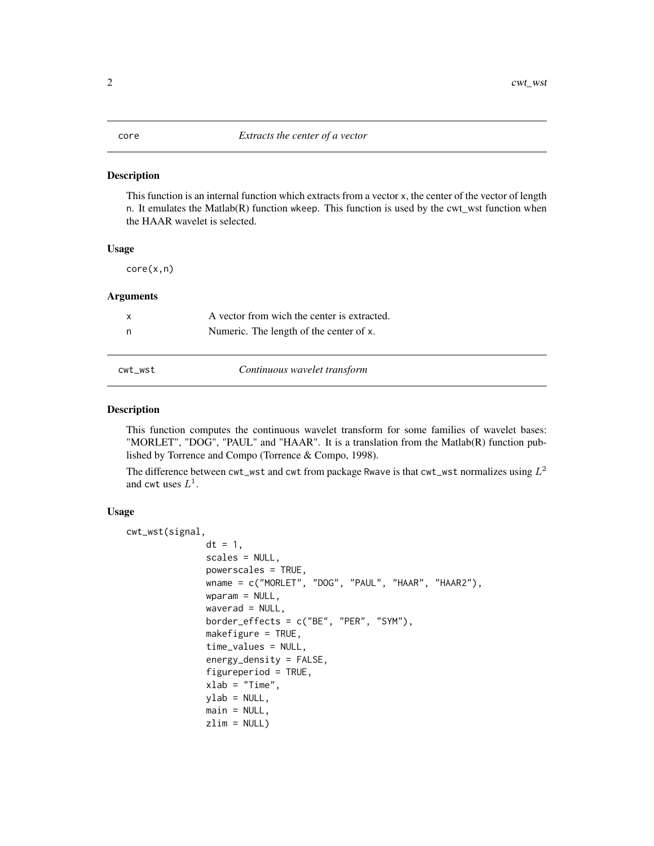#### <span id="page-1-0"></span>Description

This function is an internal function which extracts from a vector x, the center of the vector of length n. It emulates the Matlab(R) function wkeep. This function is used by the cwt\_wst function when the HAAR wavelet is selected.

#### Usage

core(x,n)

#### Arguments

| A vector from wich the center is extracted. |  |
|---------------------------------------------|--|
| Numeric. The length of the center of x.     |  |
|                                             |  |

cwt\_wst *Continuous wavelet transform*

#### Description

This function computes the continuous wavelet transform for some families of wavelet bases: "MORLET", "DOG", "PAUL" and "HAAR". It is a translation from the Matlab(R) function published by Torrence and Compo (Torrence & Compo, 1998).

The difference between <code>cwt\_wst</code> and <code>cwt</code> from package <code>Rwave</code> is that <code>cwt\_wst</code> normalizes using  $L^2$ and cwt uses  $L^1$ .

#### Usage

```
cwt_wst(signal,
               dt = 1,
               scales = NULL,
               powerscales = TRUE,
               wname = c("MORLET", "DOG", "PAUL", "HAAR", "HAAR2"),
               wparam = NULL,
               waverad = NULL,border_effects = c("BE", "PER", "SYM"),
               makefigure = TRUE,
               time_values = NULL,
               energy_density = FALSE,
               figureperiod = TRUE,
               xlab = "Time".
               ylab = NULL,main = NULL,zlim = NULL
```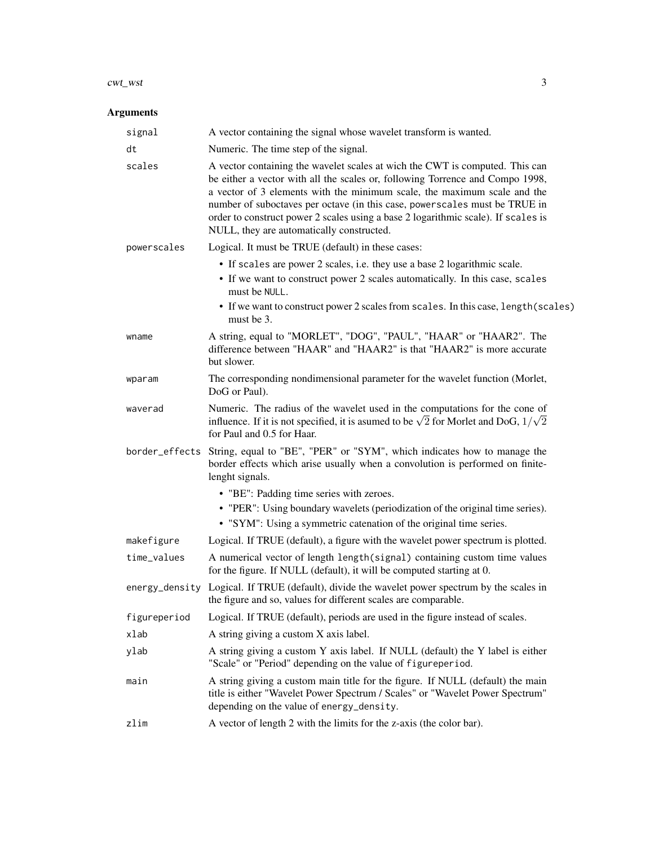#### cwt\_wst 3

| signal         | A vector containing the signal whose wavelet transform is wanted.                                                                                                                                                                                                                                                                                                                                                                                         |
|----------------|-----------------------------------------------------------------------------------------------------------------------------------------------------------------------------------------------------------------------------------------------------------------------------------------------------------------------------------------------------------------------------------------------------------------------------------------------------------|
| dt             | Numeric. The time step of the signal.                                                                                                                                                                                                                                                                                                                                                                                                                     |
| scales         | A vector containing the wavelet scales at wich the CWT is computed. This can<br>be either a vector with all the scales or, following Torrence and Compo 1998,<br>a vector of 3 elements with the minimum scale, the maximum scale and the<br>number of suboctaves per octave (in this case, powerscales must be TRUE in<br>order to construct power 2 scales using a base 2 logarithmic scale). If scales is<br>NULL, they are automatically constructed. |
| powerscales    | Logical. It must be TRUE (default) in these cases:                                                                                                                                                                                                                                                                                                                                                                                                        |
|                | • If scales are power 2 scales, i.e. they use a base 2 logarithmic scale.<br>• If we want to construct power 2 scales automatically. In this case, scales<br>must be NULL.<br>• If we want to construct power 2 scales from scales. In this case, length (scales)<br>must be 3.                                                                                                                                                                           |
| wname          | A string, equal to "MORLET", "DOG", "PAUL", "HAAR" or "HAAR2". The<br>difference between "HAAR" and "HAAR2" is that "HAAR2" is more accurate<br>but slower.                                                                                                                                                                                                                                                                                               |
| wparam         | The corresponding nondimensional parameter for the wavelet function (Morlet,<br>DoG or Paul).                                                                                                                                                                                                                                                                                                                                                             |
| waverad        | Numeric. The radius of the wavelet used in the computations for the cone of<br>influence. If it is not specified, it is asumed to be $\sqrt{2}$ for Morlet and DoG, $1/\sqrt{2}$<br>for Paul and 0.5 for Haar.                                                                                                                                                                                                                                            |
| border_effects | String, equal to "BE", "PER" or "SYM", which indicates how to manage the<br>border effects which arise usually when a convolution is performed on finite-<br>lenght signals.                                                                                                                                                                                                                                                                              |
|                | • "BE": Padding time series with zeroes.<br>• "PER": Using boundary wavelets (periodization of the original time series).<br>• "SYM": Using a symmetric catenation of the original time series.                                                                                                                                                                                                                                                           |
| makefigure     | Logical. If TRUE (default), a figure with the wavelet power spectrum is plotted.                                                                                                                                                                                                                                                                                                                                                                          |
| time_values    | A numerical vector of length length(signal) containing custom time values<br>for the figure. If NULL (default), it will be computed starting at 0.                                                                                                                                                                                                                                                                                                        |
|                | energy_density Logical. If TRUE (default), divide the wavelet power spectrum by the scales in<br>the figure and so, values for different scales are comparable.                                                                                                                                                                                                                                                                                           |
| figureperiod   | Logical. If TRUE (default), periods are used in the figure instead of scales.                                                                                                                                                                                                                                                                                                                                                                             |
| xlab           | A string giving a custom X axis label.                                                                                                                                                                                                                                                                                                                                                                                                                    |
| ylab           | A string giving a custom Y axis label. If NULL (default) the Y label is either<br>"Scale" or "Period" depending on the value of figureperiod.                                                                                                                                                                                                                                                                                                             |
| main           | A string giving a custom main title for the figure. If NULL (default) the main<br>title is either "Wavelet Power Spectrum / Scales" or "Wavelet Power Spectrum"<br>depending on the value of energy_density.                                                                                                                                                                                                                                              |
| zlim           | A vector of length 2 with the limits for the z-axis (the color bar).                                                                                                                                                                                                                                                                                                                                                                                      |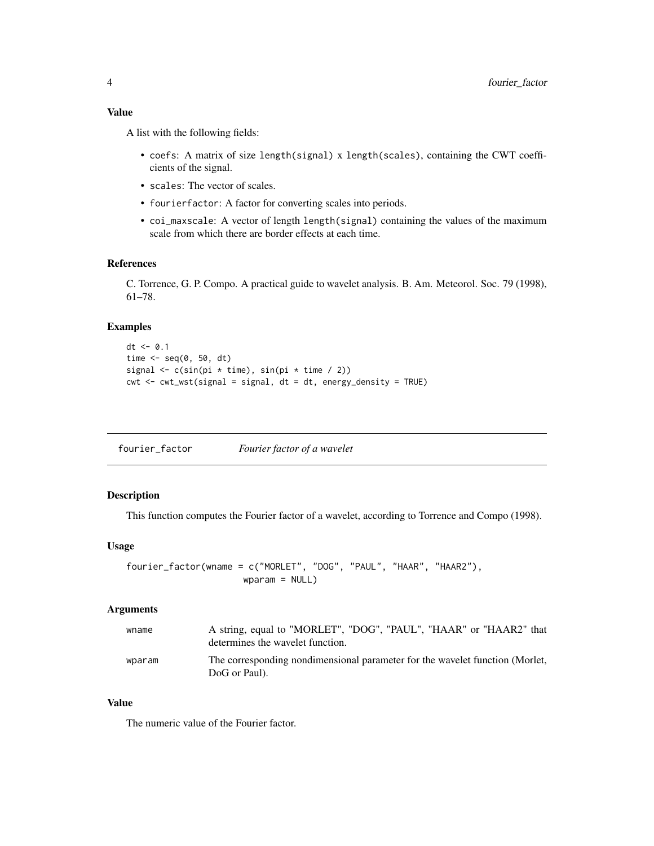<span id="page-3-0"></span>A list with the following fields:

- coefs: A matrix of size length(signal) x length(scales), containing the CWT coefficients of the signal.
- scales: The vector of scales.
- fourierfactor: A factor for converting scales into periods.
- coi\_maxscale: A vector of length length(signal) containing the values of the maximum scale from which there are border effects at each time.

#### References

C. Torrence, G. P. Compo. A practical guide to wavelet analysis. B. Am. Meteorol. Soc. 79 (1998), 61–78.

#### Examples

```
dt <- 0.1time \leq seq(0, 50, dt)
signal <- c(sin(pi * time), sin(pi * time / 2))
cut < -cut_wst(signal = signal, dt = dt, energy-density = TRUE)
```

| fourier_factor | Fourier factor of a wavelet |
|----------------|-----------------------------|
|                |                             |

#### Description

This function computes the Fourier factor of a wavelet, according to Torrence and Compo (1998).

#### Usage

```
fourier_factor(wname = c("MORLET", "DOG", "PAUL", "HAAR", "HAAR2"),
                      wparam = NULL)
```
#### Arguments

| wname  | A string, equal to "MORLET", "DOG", "PAUL", "HAAR" or "HAAR2" that<br>determines the wavelet function. |
|--------|--------------------------------------------------------------------------------------------------------|
| wparam | The corresponding nondimensional parameter for the wavelet function (Morlet,<br>DoG or Paul).          |

#### Value

The numeric value of the Fourier factor.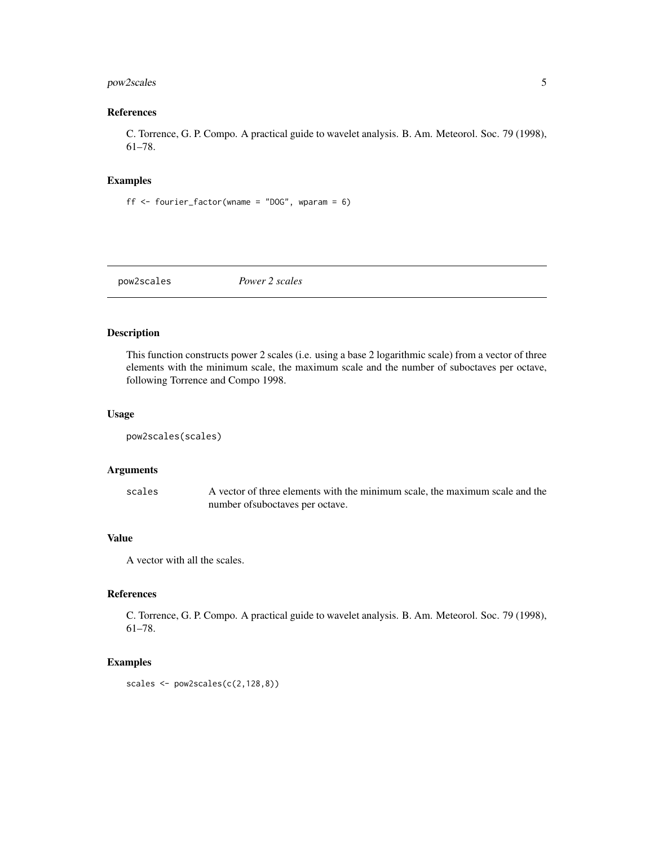#### <span id="page-4-0"></span>pow2scales 5

#### References

C. Torrence, G. P. Compo. A practical guide to wavelet analysis. B. Am. Meteorol. Soc. 79 (1998), 61–78.

#### Examples

```
ff \le fourier_factor(wname = "DOG", wparam = 6)
```
pow2scales *Power 2 scales*

#### Description

This function constructs power 2 scales (i.e. using a base 2 logarithmic scale) from a vector of three elements with the minimum scale, the maximum scale and the number of suboctaves per octave, following Torrence and Compo 1998.

#### Usage

```
pow2scales(scales)
```
#### Arguments

scales A vector of three elements with the minimum scale, the maximum scale and the number ofsuboctaves per octave.

#### Value

A vector with all the scales.

#### References

C. Torrence, G. P. Compo. A practical guide to wavelet analysis. B. Am. Meteorol. Soc. 79 (1998), 61–78.

#### Examples

scales <- pow2scales(c(2,128,8))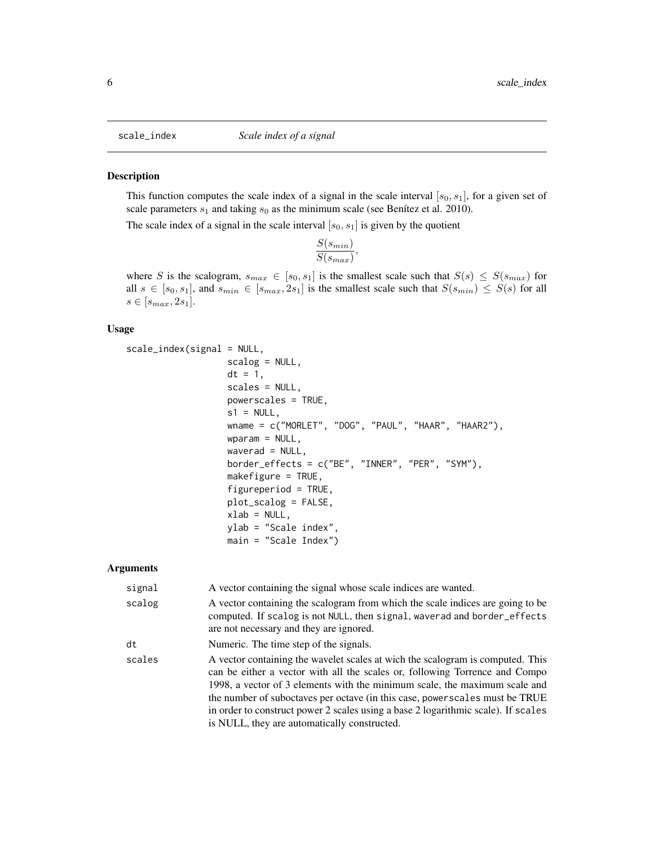<span id="page-5-0"></span>

#### Description

This function computes the scale index of a signal in the scale interval  $[s_0, s_1]$ , for a given set of scale parameters  $s_1$  and taking  $s_0$  as the minimum scale (see Benítez et al. 2010).

The scale index of a signal in the scale interval  $[s_0, s_1]$  is given by the quotient

$$
\frac{S(s_{min})}{S(s_{max})},
$$

where S is the scalogram,  $s_{max} \in [s_0, s_1]$  is the smallest scale such that  $S(s) \leq S(s_{max})$  for all  $s \in [s_0, s_1]$ , and  $s_{min} \in [s_{max}, 2s_1]$  is the smallest scale such that  $S(s_{min}) \leq S(s)$  for all  $s \in [s_{max}, 2s_1].$ 

#### Usage

```
scale_index(signal = NULL,
                   scalog = NULL,
                   dt = 1,
                   scales = NULL,
                   powerscales = TRUE,
                   s1 = NULL,wname = c("MORLET", "DOG", "PAUL", "HAAR", "HAAR2"),
                   wparam = NULL,
                   waverad = NULL,border_effects = c("BE", "INNER", "PER", "SYM"),
                   makefigure = TRUE,
                   figureperiod = TRUE,
                   plot_scalog = FALSE,
                   xlab = NULL,
                   ylab = "Scale index",
                   main = "Scale Index")
```

| signal | A vector containing the signal whose scale indices are wanted.                                                                                                                                                                                                                                                                                                                                                                                                   |
|--------|------------------------------------------------------------------------------------------------------------------------------------------------------------------------------------------------------------------------------------------------------------------------------------------------------------------------------------------------------------------------------------------------------------------------------------------------------------------|
| scalog | A vector containing the scalogram from which the scale indices are going to be<br>computed. If scalog is not NULL, then signal, waverad and border_effects<br>are not necessary and they are ignored.                                                                                                                                                                                                                                                            |
| dt     | Numeric. The time step of the signals.                                                                                                                                                                                                                                                                                                                                                                                                                           |
| scales | A vector containing the wavelet scales at wich the scalogram is computed. This<br>can be either a vector with all the scales or, following Torrence and Compo<br>1998, a vector of 3 elements with the minimum scale, the maximum scale and<br>the number of suboctaves per octave (in this case, power scales must be TRUE<br>in order to construct power 2 scales using a base 2 logarithmic scale). If scales<br>is NULL, they are automatically constructed. |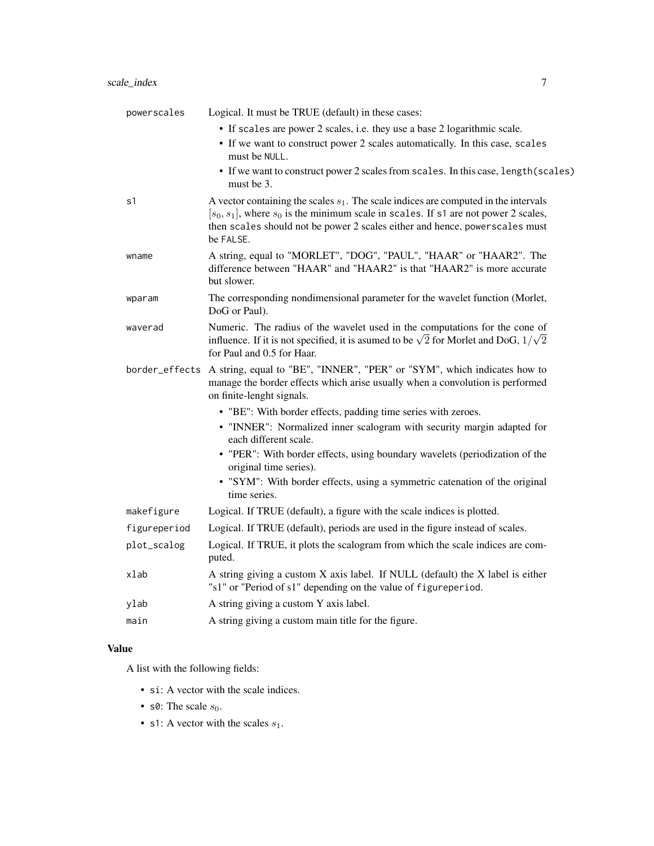| powerscales    | Logical. It must be TRUE (default) in these cases:                                                                                                                                                                                                                             |
|----------------|--------------------------------------------------------------------------------------------------------------------------------------------------------------------------------------------------------------------------------------------------------------------------------|
|                | • If scales are power 2 scales, i.e. they use a base 2 logarithmic scale.<br>• If we want to construct power 2 scales automatically. In this case, scales<br>must be NULL.                                                                                                     |
|                | • If we want to construct power 2 scales from scales. In this case, length (scales)<br>must be 3.                                                                                                                                                                              |
| s1             | A vector containing the scales $s_1$ . The scale indices are computed in the intervals<br>$[s_0, s_1]$ , where $s_0$ is the minimum scale in scales. If s1 are not power 2 scales,<br>then scales should not be power 2 scales either and hence, powerscales must<br>be FALSE. |
| wname          | A string, equal to "MORLET", "DOG", "PAUL", "HAAR" or "HAAR2". The<br>difference between "HAAR" and "HAAR2" is that "HAAR2" is more accurate<br>but slower.                                                                                                                    |
| wparam         | The corresponding nondimensional parameter for the wavelet function (Morlet,<br>DoG or Paul).                                                                                                                                                                                  |
| waverad        | Numeric. The radius of the wavelet used in the computations for the cone of<br>influence. If it is not specified, it is asumed to be $\sqrt{2}$ for Morlet and DoG, $1/\sqrt{2}$<br>for Paul and 0.5 for Haar.                                                                 |
| border_effects | A string, equal to "BE", "INNER", "PER" or "SYM", which indicates how to<br>manage the border effects which arise usually when a convolution is performed<br>on finite-lenght signals.                                                                                         |
|                | • "BE": With border effects, padding time series with zeroes.                                                                                                                                                                                                                  |
|                | • "INNER": Normalized inner scalogram with security margin adapted for<br>each different scale.                                                                                                                                                                                |
|                | • "PER": With border effects, using boundary wavelets (periodization of the<br>original time series).                                                                                                                                                                          |
|                | • "SYM": With border effects, using a symmetric catenation of the original<br>time series.                                                                                                                                                                                     |
| makefigure     | Logical. If TRUE (default), a figure with the scale indices is plotted.                                                                                                                                                                                                        |
| figureperiod   | Logical. If TRUE (default), periods are used in the figure instead of scales.                                                                                                                                                                                                  |
| plot_scalog    | Logical. If TRUE, it plots the scalogram from which the scale indices are com-<br>puted.                                                                                                                                                                                       |
| xlab           | A string giving a custom X axis label. If NULL (default) the X label is either<br>"s1" or "Period of s1" depending on the value of figureperiod.                                                                                                                               |
| ylab           | A string giving a custom Y axis label.                                                                                                                                                                                                                                         |
| main           | A string giving a custom main title for the figure.                                                                                                                                                                                                                            |
|                |                                                                                                                                                                                                                                                                                |

A list with the following fields:

- si: A vector with the scale indices.
- s0: The scale  $s_0$ .
- s1: A vector with the scales  $s_1$ .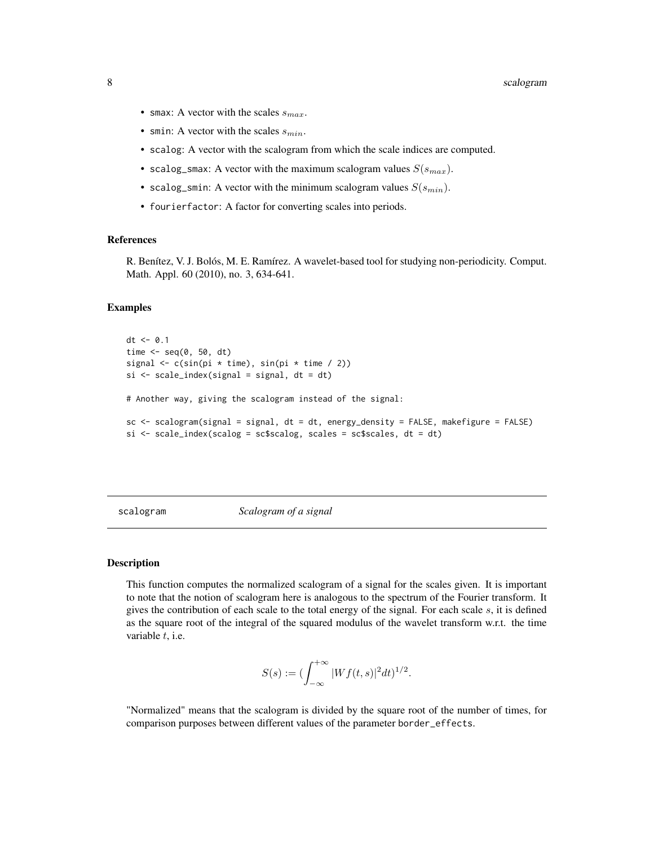- <span id="page-7-0"></span>• smax: A vector with the scales  $s_{max}$ .
- smin: A vector with the scales  $s_{min}$ .
- scalog: A vector with the scalogram from which the scale indices are computed.
- scalog\_smax: A vector with the maximum scalogram values  $S(s_{max})$ .
- scalog\_smin: A vector with the minimum scalogram values  $S(s_{min})$ .
- fourierfactor: A factor for converting scales into periods.

#### References

R. Benítez, V. J. Bolós, M. E. Ramírez. A wavelet-based tool for studying non-periodicity. Comput. Math. Appl. 60 (2010), no. 3, 634-641.

#### Examples

```
dt < -0.1time \leq seq(0, 50, dt)
signal \leq c(sin(pi * time), sin(pi * time / 2))
si \leftarrow scale\_index(signal = signal, dt = dt)# Another way, giving the scalogram instead of the signal:
sc <- scalogram(signal = signal, dt = dt, energy_density = FALSE, makefigure = FALSE)
si \leftarrow scale_index(scalog = scsscalog, scales = sc$scales, dt = dt)
```
scalogram *Scalogram of a signal*

#### Description

This function computes the normalized scalogram of a signal for the scales given. It is important to note that the notion of scalogram here is analogous to the spectrum of the Fourier transform. It gives the contribution of each scale to the total energy of the signal. For each scale  $s$ , it is defined as the square root of the integral of the squared modulus of the wavelet transform w.r.t. the time variable  $t$ , i.e.

$$
S(s) := \bigl(\int_{-\infty}^{+\infty} |Wf(t,s)|^2 dt\bigr)^{1/2}.
$$

"Normalized" means that the scalogram is divided by the square root of the number of times, for comparison purposes between different values of the parameter border\_effects.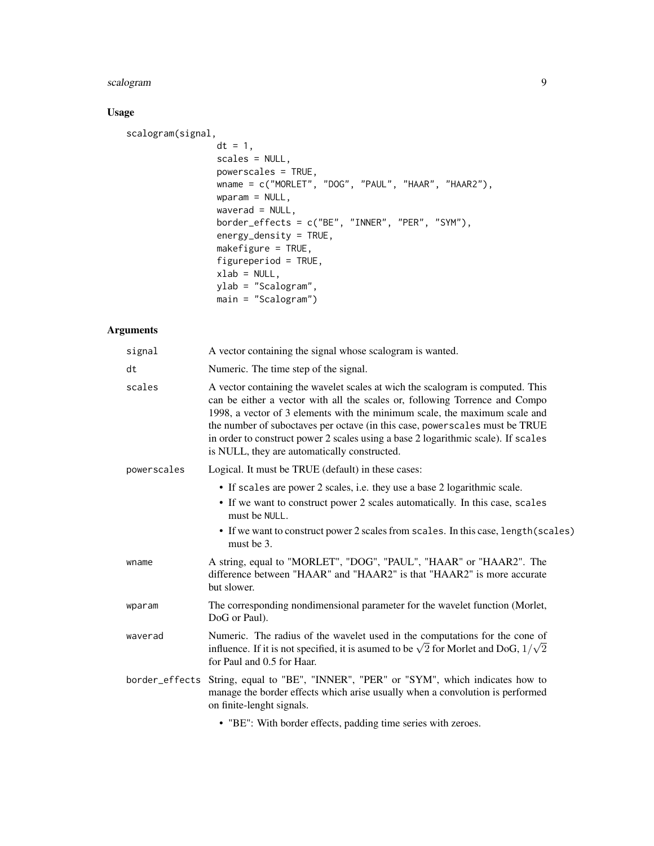#### scalogram 9

#### Usage

```
scalogram(signal,
                 dt = 1,
                 scales = NULL,
                 powerscales = TRUE,
                 wname = c("MORLET", "DOG", "PAUL", "HAAR", "HAAR2"),
                 wparam = NULL,
                 waverad = NULL,
                 border_effects = c("BE", "INNER", "PER", "SYM"),
                 energy_density = TRUE,
                 makefigure = TRUE,
                 figureperiod = TRUE,
                 xlab = NULL,ylab = "Scalogram",
                 main = "Scalogram")
```
#### Arguments

| signal         | A vector containing the signal whose scalogram is wanted.                                                                                                                                                                                                                                                                                                                                                                                                        |
|----------------|------------------------------------------------------------------------------------------------------------------------------------------------------------------------------------------------------------------------------------------------------------------------------------------------------------------------------------------------------------------------------------------------------------------------------------------------------------------|
| dt             | Numeric. The time step of the signal.                                                                                                                                                                                                                                                                                                                                                                                                                            |
| scales         | A vector containing the wavelet scales at wich the scalogram is computed. This<br>can be either a vector with all the scales or, following Torrence and Compo<br>1998, a vector of 3 elements with the minimum scale, the maximum scale and<br>the number of suboctaves per octave (in this case, power scales must be TRUE<br>in order to construct power 2 scales using a base 2 logarithmic scale). If scales<br>is NULL, they are automatically constructed. |
| powerscales    | Logical. It must be TRUE (default) in these cases:                                                                                                                                                                                                                                                                                                                                                                                                               |
|                | • If scales are power 2 scales, i.e. they use a base 2 logarithmic scale.                                                                                                                                                                                                                                                                                                                                                                                        |
|                | • If we want to construct power 2 scales automatically. In this case, scales<br>must be NULL.                                                                                                                                                                                                                                                                                                                                                                    |
|                | • If we want to construct power 2 scales from scales. In this case, length (scales)<br>must be 3.                                                                                                                                                                                                                                                                                                                                                                |
| wname          | A string, equal to "MORLET", "DOG", "PAUL", "HAAR" or "HAAR2". The<br>difference between "HAAR" and "HAAR2" is that "HAAR2" is more accurate<br>but slower.                                                                                                                                                                                                                                                                                                      |
| wparam         | The corresponding nondimensional parameter for the wavelet function (Morlet,<br>DoG or Paul).                                                                                                                                                                                                                                                                                                                                                                    |
| waverad        | Numeric. The radius of the wavelet used in the computations for the cone of<br>influence. If it is not specified, it is asumed to be $\sqrt{2}$ for Morlet and DoG, $1/\sqrt{2}$<br>for Paul and 0.5 for Haar.                                                                                                                                                                                                                                                   |
| border_effects | String, equal to "BE", "INNER", "PER" or "SYM", which indicates how to<br>manage the border effects which arise usually when a convolution is performed<br>on finite-lenght signals.                                                                                                                                                                                                                                                                             |
|                |                                                                                                                                                                                                                                                                                                                                                                                                                                                                  |

• "BE": With border effects, padding time series with zeroes.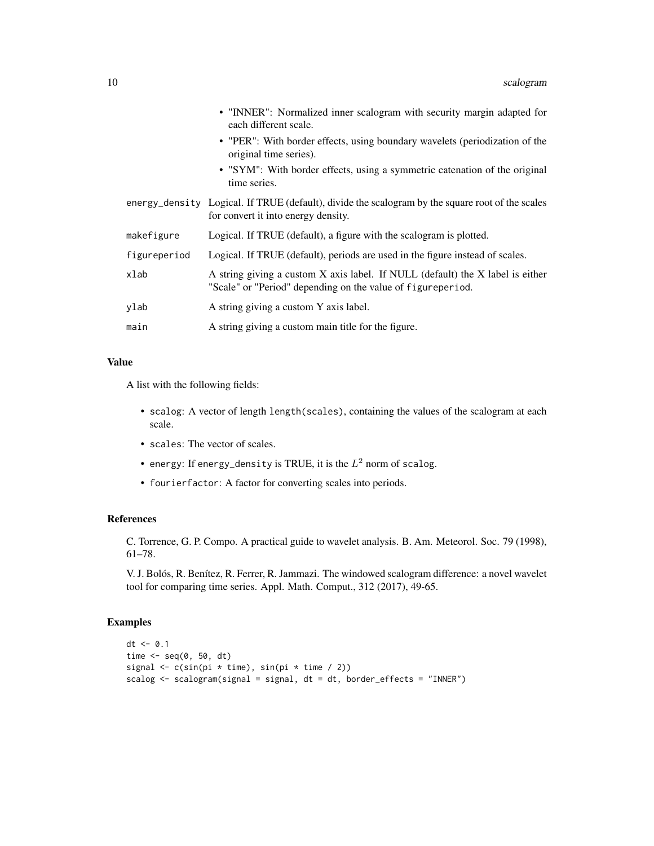|              | • "INNER": Normalized inner scalogram with security margin adapted for<br>each different scale.                                               |
|--------------|-----------------------------------------------------------------------------------------------------------------------------------------------|
|              | • "PER": With border effects, using boundary wavelets (periodization of the<br>original time series).                                         |
|              | • "SYM": With border effects, using a symmetric catenation of the original<br>time series.                                                    |
|              | energy_density Logical. If TRUE (default), divide the scalogram by the square root of the scales<br>for convert it into energy density.       |
| makefigure   | Logical. If TRUE (default), a figure with the scalogram is plotted.                                                                           |
| figureperiod | Logical. If TRUE (default), periods are used in the figure instead of scales.                                                                 |
| xlab         | A string giving a custom X axis label. If NULL (default) the X label is either<br>"Scale" or "Period" depending on the value of figureperiod. |
| ylab         | A string giving a custom Y axis label.                                                                                                        |
| main         | A string giving a custom main title for the figure.                                                                                           |

A list with the following fields:

- scalog: A vector of length length(scales), containing the values of the scalogram at each scale.
- scales: The vector of scales.
- energy: If energy\_density is TRUE, it is the  $L^2$  norm of scalog.
- fourierfactor: A factor for converting scales into periods.

#### References

C. Torrence, G. P. Compo. A practical guide to wavelet analysis. B. Am. Meteorol. Soc. 79 (1998), 61–78.

V. J. Bolós, R. Benítez, R. Ferrer, R. Jammazi. The windowed scalogram difference: a novel wavelet tool for comparing time series. Appl. Math. Comput., 312 (2017), 49-65.

#### Examples

```
dt <- 0.1
time \leq seq(0, 50, dt)
signal \leq c(sin(pi * time), sin(pi * time / 2))
scalog <- scalogram(signal = signal, dt = dt, border_effects = "INNER")
```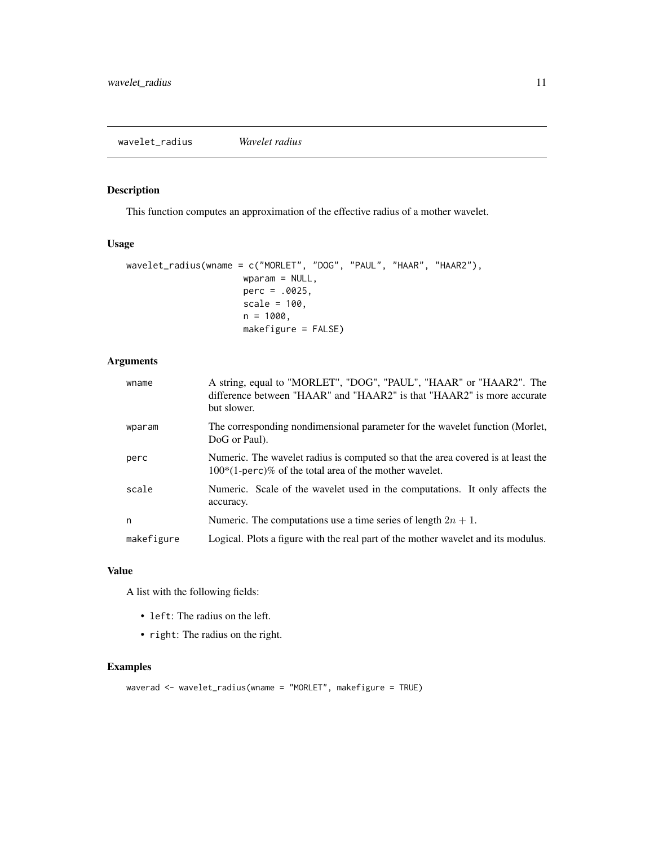#### <span id="page-10-0"></span>Description

This function computes an approximation of the effective radius of a mother wavelet.

#### Usage

```
wavelet_radius(wname = c("MORLET", "DOG", "PAUL", "HAAR", "HAAR2"),
                      wparam = NULL,
                      perc = .0025,
                      scale = 100,
                      n = 1000,makefigure = FALSE)
```
#### Arguments

| wname      | A string, equal to "MORLET", "DOG", "PAUL", "HAAR" or "HAAR2". The<br>difference between "HAAR" and "HAAR2" is that "HAAR2" is more accurate<br>but slower. |
|------------|-------------------------------------------------------------------------------------------------------------------------------------------------------------|
| wparam     | The corresponding nondimensional parameter for the wavelet function (Morlet,<br>DoG or Paul).                                                               |
| perc       | Numeric. The wavelet radius is computed so that the area covered is at least the<br>$100*(1\text{-perc})\%$ of the total area of the mother wavelet.        |
| scale      | Numeric. Scale of the wavelet used in the computations. It only affects the<br>accuracy.                                                                    |
| n          | Numeric. The computations use a time series of length $2n + 1$ .                                                                                            |
| makefigure | Logical. Plots a figure with the real part of the mother wavelet and its modulus.                                                                           |

#### Value

A list with the following fields:

- left: The radius on the left.
- right: The radius on the right.

#### Examples

```
waverad <- wavelet_radius(wname = "MORLET", makefigure = TRUE)
```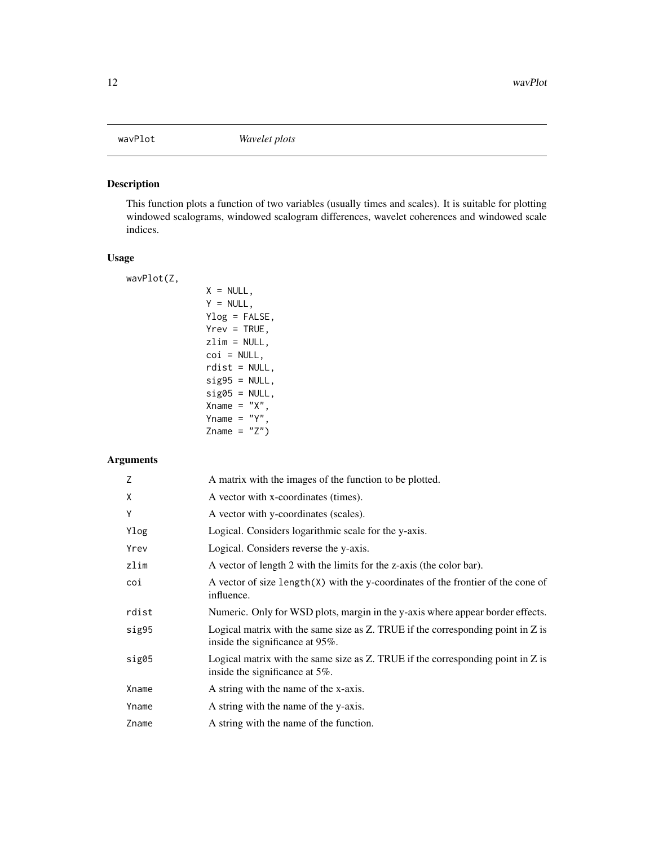#### <span id="page-11-0"></span>Description

This function plots a function of two variables (usually times and scales). It is suitable for plotting windowed scalograms, windowed scalogram differences, wavelet coherences and windowed scale indices.

#### Usage

wavPlot(Z,

```
X = NULL,Y = NULL,Ylog = FALSE,
Yrev = TRUE,zlim = NULL,
coi = NULL,rdist = NULL,
sig95 = NULL,sig@5 = NULL,Xname = "X",
Yname = "Y",Zname = "Z")
```

| Z     | A matrix with the images of the function to be plotted.                                                                    |
|-------|----------------------------------------------------------------------------------------------------------------------------|
| X     | A vector with x-coordinates (times).                                                                                       |
| Υ     | A vector with y-coordinates (scales).                                                                                      |
| Ylog  | Logical. Considers logarithmic scale for the y-axis.                                                                       |
| Yrev  | Logical. Considers reverse the y-axis.                                                                                     |
| zlim  | A vector of length 2 with the limits for the z-axis (the color bar).                                                       |
| coi   | A vector of size length(X) with the y-coordinates of the frontier of the cone of<br>influence.                             |
| rdist | Numeric. Only for WSD plots, margin in the y-axis where appear border effects.                                             |
| sig95 | Logical matrix with the same size as $Z$ . TRUE if the corresponding point in $Z$ is<br>inside the significance at 95%.    |
| sig05 | Logical matrix with the same size as $Z$ . TRUE if the corresponding point in $Z$ is<br>inside the significance at $5\%$ . |
| Xname | A string with the name of the x-axis.                                                                                      |
| Yname | A string with the name of the y-axis.                                                                                      |
| Zname | A string with the name of the function.                                                                                    |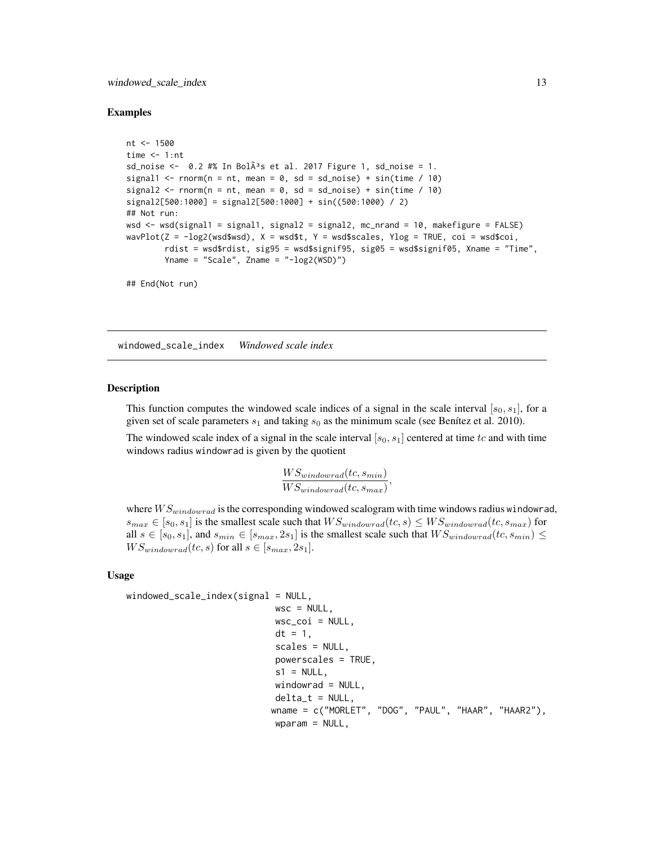#### <span id="page-12-0"></span>windowed\_scale\_index 13

#### Examples

```
nt <- 1500
time <-1:nt
sd noise \leq 0.2 #% In Bol\tilde{A}<sup>3</sup>s et al. 2017 Figure 1, sd noise = 1.
signal1 <- rnorm(n = nt, mean = 0, sd = sd_noise) + sin(time / 10)
signal2 <- rnorm(n = nt, mean = 0, sd = sd_noise) + sin(time / 10)
signal2[500:1000] = signal2[500:1000] + sin((500:1000) / 2)
## Not run:
wsd <- wsd(signal1 = signal1, signal2 = signal2, mc_nrand = 10, makefigure = FALSE)
wavPlot(Z = -log2(wsd$wsd), X = wsd$t, Y = wsd$scales, Ylog = TRUE, coi = wsd$coi,
        rdist = wsd$rdist, sig95 = wsd$signif95, sig05 = wsd$signif05, Xname = "Time",
        Yname = "Scale", Zname = "-log2(WSD)")
## End(Not run)
```
windowed\_scale\_index *Windowed scale index*

#### Description

This function computes the windowed scale indices of a signal in the scale interval  $[s_0, s_1]$ , for a given set of scale parameters  $s_1$  and taking  $s_0$  as the minimum scale (see Benítez et al. 2010).

The windowed scale index of a signal in the scale interval  $[s_0, s_1]$  centered at time tc and with time windows radius windowrad is given by the quotient

$$
\frac{WS_{windowrad}(tc, s_{min})}{WS_{windowrad}(tc, s_{max})},
$$

where  $WS_{windowrad}$  is the corresponding windowed scalogram with time windows radius windowrad,  $s_{max} \in [s_0, s_1]$  is the smallest scale such that  $WS_{windowrad}(tc, s) \leq WS_{windowrad}(tc, s_{max})$  for all  $s \in [s_0, s_1]$ , and  $s_{min} \in [s_{max}, 2s_1]$  is the smallest scale such that  $WS_{windowrad}(tc, s_{min}) \le$  $WS_{windowrad}(tc, s)$  for all  $s \in [s_{max}, 2s_1]$ .

#### Usage

```
windowed\_scale\_index(signal = NULL,
```

```
wsc = NULL,wsc\_coi = NULL,dt = 1,
scales = NULL,
powerscales = TRUE,
s1 = NULL,
windowrad = NULL,delta_t = NULL,wname = c("MORLET", "DOG", "PAUL", "HAAR", "HAAR2"),
wparam = NULL,
```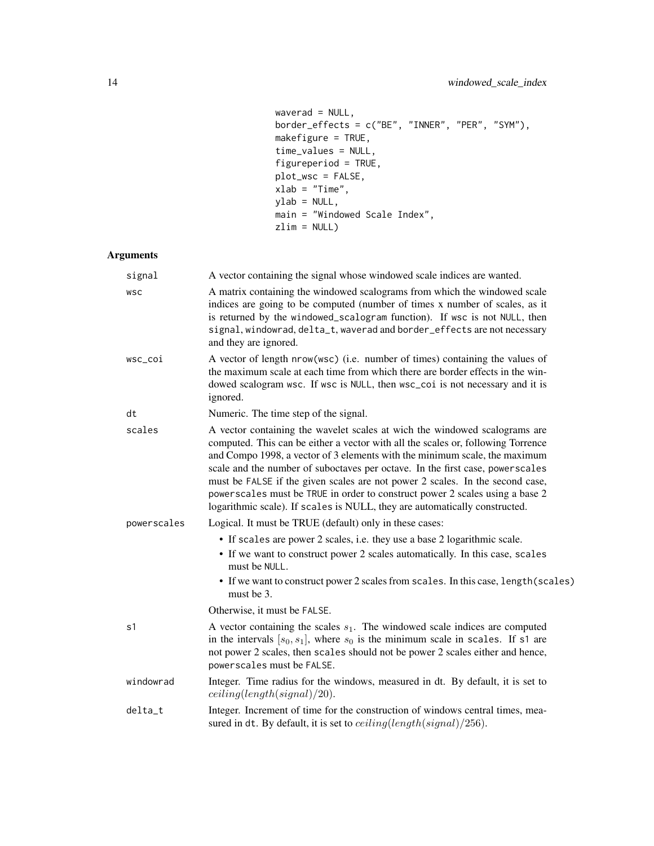```
waverad = NULL,border_effects = c("BE", "INNER", "PER", "SYM"),makefigure = TRUE,
time_values = NULL,
figureperiod = TRUE,
plot_wsc = FALSE,
xlab = "Time",ylab = NULL,
main = "Windowed Scale Index",
zlim = NULL)
```

| signal      | A vector containing the signal whose windowed scale indices are wanted.                                                                                                                                                                                                                                                                                                                                                                                                                                                                                                      |
|-------------|------------------------------------------------------------------------------------------------------------------------------------------------------------------------------------------------------------------------------------------------------------------------------------------------------------------------------------------------------------------------------------------------------------------------------------------------------------------------------------------------------------------------------------------------------------------------------|
| <b>WSC</b>  | A matrix containing the windowed scalograms from which the windowed scale<br>indices are going to be computed (number of times x number of scales, as it<br>is returned by the windowed_scalogram function). If wsc is not NULL, then<br>signal, windowrad, delta_t, waverad and border_effects are not necessary<br>and they are ignored.                                                                                                                                                                                                                                   |
| wsc_coi     | A vector of length nrow(wsc) (i.e. number of times) containing the values of<br>the maximum scale at each time from which there are border effects in the win-<br>dowed scalogram wsc. If wsc is NULL, then wsc_coi is not necessary and it is<br>ignored.                                                                                                                                                                                                                                                                                                                   |
| dt          | Numeric. The time step of the signal.                                                                                                                                                                                                                                                                                                                                                                                                                                                                                                                                        |
| scales      | A vector containing the wavelet scales at wich the windowed scalograms are<br>computed. This can be either a vector with all the scales or, following Torrence<br>and Compo 1998, a vector of 3 elements with the minimum scale, the maximum<br>scale and the number of suboctaves per octave. In the first case, powerscales<br>must be FALSE if the given scales are not power 2 scales. In the second case,<br>powerscales must be TRUE in order to construct power 2 scales using a base 2<br>logarithmic scale). If scales is NULL, they are automatically constructed. |
| powerscales | Logical. It must be TRUE (default) only in these cases:                                                                                                                                                                                                                                                                                                                                                                                                                                                                                                                      |
|             | • If scales are power 2 scales, i.e. they use a base 2 logarithmic scale.<br>• If we want to construct power 2 scales automatically. In this case, scales<br>must be NULL.<br>• If we want to construct power 2 scales from scales. In this case, length (scales)<br>must be 3.                                                                                                                                                                                                                                                                                              |
|             | Otherwise, it must be FALSE.                                                                                                                                                                                                                                                                                                                                                                                                                                                                                                                                                 |
| s1          | A vector containing the scales $s_1$ . The windowed scale indices are computed<br>in the intervals $[s_0, s_1]$ , where $s_0$ is the minimum scale in scales. If s1 are<br>not power 2 scales, then scales should not be power 2 scales either and hence,<br>powerscales must be FALSE.                                                                                                                                                                                                                                                                                      |
| windowrad   | Integer. Time radius for the windows, measured in dt. By default, it is set to<br>ceiling(length(signal)/20).                                                                                                                                                                                                                                                                                                                                                                                                                                                                |
| delta_t     | Integer. Increment of time for the construction of windows central times, mea-<br>sured in dt. By default, it is set to $ceiling(length(signal)/256)$ .                                                                                                                                                                                                                                                                                                                                                                                                                      |
|             |                                                                                                                                                                                                                                                                                                                                                                                                                                                                                                                                                                              |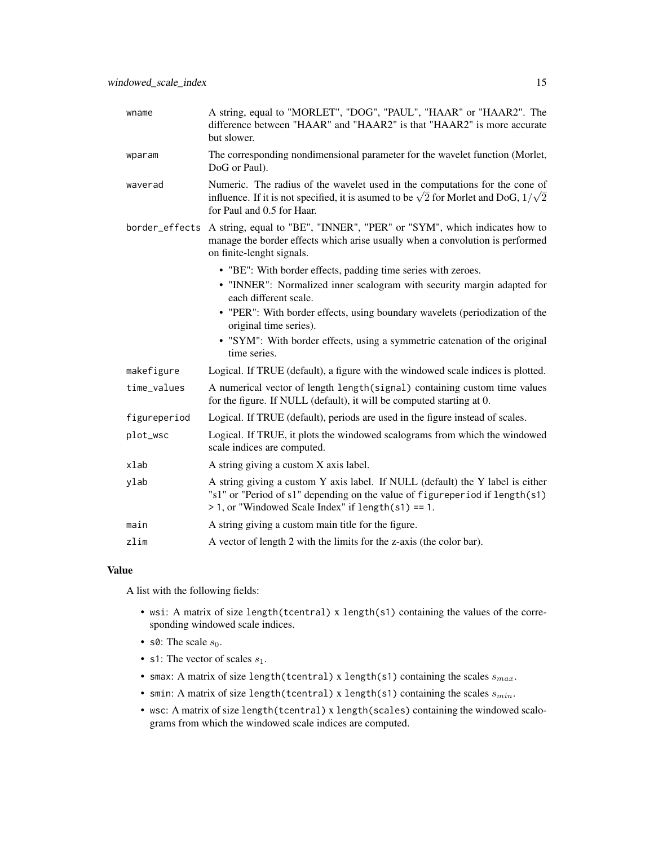| wname          | A string, equal to "MORLET", "DOG", "PAUL", "HAAR" or "HAAR2". The<br>difference between "HAAR" and "HAAR2" is that "HAAR2" is more accurate<br>but slower.                                                            |
|----------------|------------------------------------------------------------------------------------------------------------------------------------------------------------------------------------------------------------------------|
| wparam         | The corresponding nondimensional parameter for the wavelet function (Morlet,<br>DoG or Paul).                                                                                                                          |
| waverad        | Numeric. The radius of the wavelet used in the computations for the cone of<br>influence. If it is not specified, it is asumed to be $\sqrt{2}$ for Morlet and DoG, $1/\sqrt{2}$<br>for Paul and 0.5 for Haar.         |
| border_effects | A string, equal to "BE", "INNER", "PER" or "SYM", which indicates how to<br>manage the border effects which arise usually when a convolution is performed<br>on finite-lenght signals.                                 |
|                | • "BE": With border effects, padding time series with zeroes.                                                                                                                                                          |
|                | • "INNER": Normalized inner scalogram with security margin adapted for<br>each different scale.                                                                                                                        |
|                | • "PER": With border effects, using boundary wavelets (periodization of the<br>original time series).                                                                                                                  |
|                | • "SYM": With border effects, using a symmetric catenation of the original<br>time series.                                                                                                                             |
| makefigure     | Logical. If TRUE (default), a figure with the windowed scale indices is plotted.                                                                                                                                       |
| time_values    | A numerical vector of length length(signal) containing custom time values<br>for the figure. If NULL (default), it will be computed starting at 0.                                                                     |
| figureperiod   | Logical. If TRUE (default), periods are used in the figure instead of scales.                                                                                                                                          |
| plot_wsc       | Logical. If TRUE, it plots the windowed scalograms from which the windowed<br>scale indices are computed.                                                                                                              |
| xlab           | A string giving a custom X axis label.                                                                                                                                                                                 |
| ylab           | A string giving a custom Y axis label. If NULL (default) the Y label is either<br>"s1" or "Period of s1" depending on the value of figureperiod if length(s1)<br>$> 1$ , or "Windowed Scale Index" if length(s1) == 1. |
| main           | A string giving a custom main title for the figure.                                                                                                                                                                    |
| zlim           | A vector of length 2 with the limits for the z-axis (the color bar).                                                                                                                                                   |

A list with the following fields:

- wsi: A matrix of size length(tcentral) x length(s1) containing the values of the corresponding windowed scale indices.
- s0: The scale  $s_0$ .
- s1: The vector of scales  $s_1$ .
- smax: A matrix of size length(tcentral) x length(s1) containing the scales  $s_{max}$ .
- smin: A matrix of size length(tcentral) x length(s1) containing the scales  $s_{min}$ .
- wsc: A matrix of size length(tcentral) x length(scales) containing the windowed scalograms from which the windowed scale indices are computed.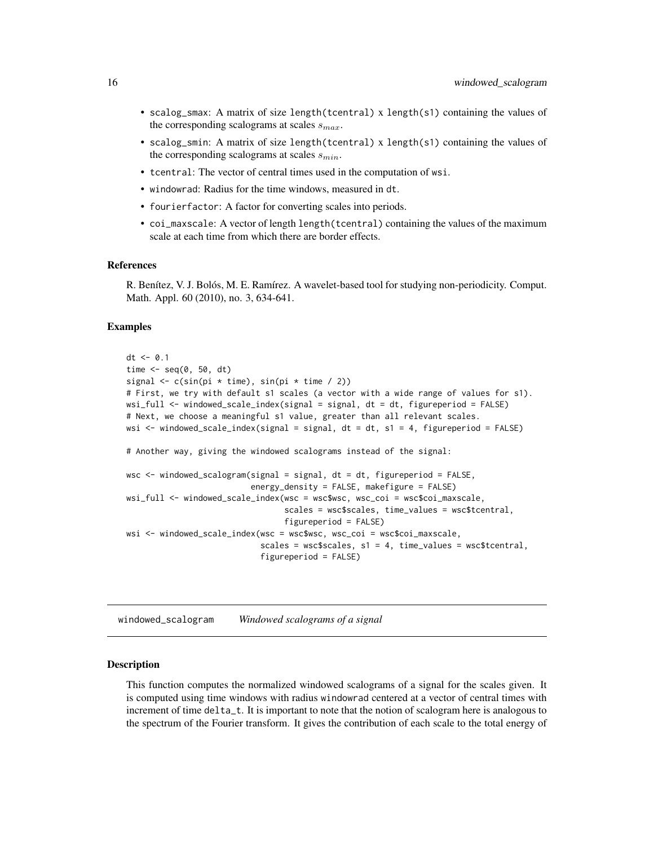- <span id="page-15-0"></span>• scalog\_smax: A matrix of size length(tcentral) x length(s1) containing the values of the corresponding scalograms at scales  $s_{max}$ .
- scalog\_smin: A matrix of size length(tcentral) x length(s1) containing the values of the corresponding scalograms at scales  $s_{min}$ .
- tcentral: The vector of central times used in the computation of wsi.
- windowrad: Radius for the time windows, measured in dt.
- fourierfactor: A factor for converting scales into periods.
- coi\_maxscale: A vector of length length(tcentral) containing the values of the maximum scale at each time from which there are border effects.

#### References

R. Benítez, V. J. Bolós, M. E. Ramírez. A wavelet-based tool for studying non-periodicity. Comput. Math. Appl. 60 (2010), no. 3, 634-641.

#### Examples

```
dt <- 0.1
time \leq seq(0, 50, dt)
signal \leq c(sin(pi * time), sin(pi * time / 2))
# First, we try with default s1 scales (a vector with a wide range of values for s1).
wsi_full <- windowed_scale_index(signal = signal, dt = dt, figureperiod = FALSE)
# Next, we choose a meaningful s1 value, greater than all relevant scales.
wsi <- windowed_scale_index(signal = signal, dt = dt, s1 = 4, figureperiod = FALSE)
# Another way, giving the windowed scalograms instead of the signal:
wsc <- windowed_scalogram(signal = signal, dt = dt, figureperiod = FALSE,
                          energy_density = FALSE, makefigure = FALSE)
wsi_full <- windowed_scale_index(wsc = wsc$wsc, wsc_coi = wsc$coi_maxscale,
                                 scales = wsc$scales, time_values = wsc$tcentral,
                                 figureperiod = FALSE)
wsi <- windowed_scale_index(wsc = wsc$wsc, wsc_coi = wsc$coi_maxscale,
                            scales = wsc$scales, s1 = 4, time_values = wsc$tcentral,
                            figureperiod = FALSE)
```
windowed\_scalogram *Windowed scalograms of a signal*

#### Description

This function computes the normalized windowed scalograms of a signal for the scales given. It is computed using time windows with radius windowrad centered at a vector of central times with increment of time delta\_t. It is important to note that the notion of scalogram here is analogous to the spectrum of the Fourier transform. It gives the contribution of each scale to the total energy of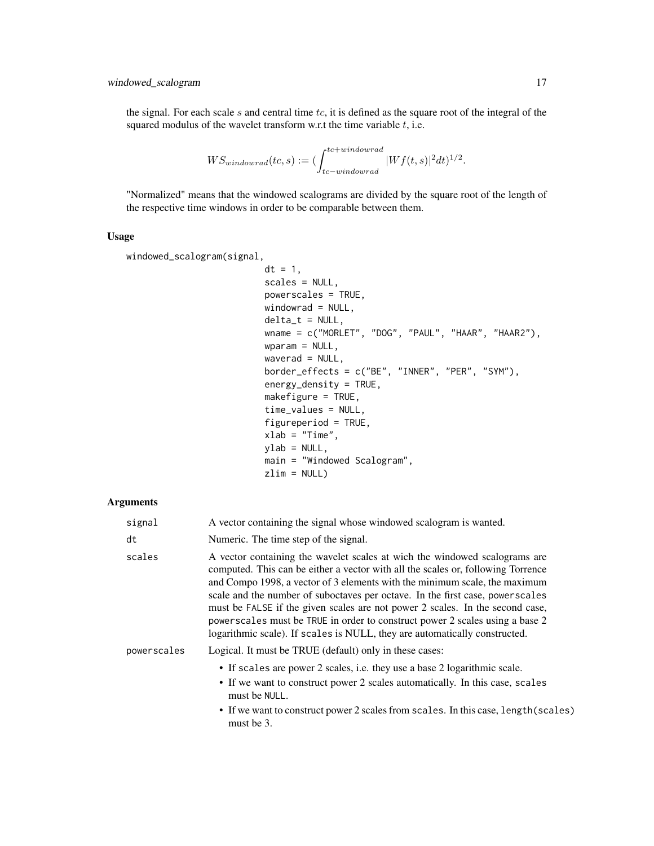the signal. For each scale s and central time tc, it is defined as the square root of the integral of the squared modulus of the wavelet transform w.r.t the time variable  $t$ , i.e.

$$
WS_{windowrad}(tc, s) := (\int_{tc - windowrad}^{tc + windowrad} |Wf(t, s)|^2 dt)^{1/2}.
$$

"Normalized" means that the windowed scalograms are divided by the square root of the length of the respective time windows in order to be comparable between them.

#### Usage

```
windowed_scalogram(signal,
```

```
dt = 1,
scales = NULL,
powerscales = TRUE,
windowrad = NULL,
delta_t = NULL,wname = c("MORLET", "DOG", "PAUL", "HAAR", "HAAR2"),
wparam = NULL,
waverad = NULL,border_effects = c("BE", "INNER", "PER", "SYM"),
energy_density = TRUE,
makefigure = TRUE,
time_values = NULL,
figureperiod = TRUE,
xlab = "Time",ylab = NULL,
main = "Windowed Scalogram",
zlim = NULL)
```

| signal      | A vector containing the signal whose windowed scalogram is wanted.                                                                                                                                                                                                                                                                                                                                                                                                                                                                                                            |
|-------------|-------------------------------------------------------------------------------------------------------------------------------------------------------------------------------------------------------------------------------------------------------------------------------------------------------------------------------------------------------------------------------------------------------------------------------------------------------------------------------------------------------------------------------------------------------------------------------|
| dt          | Numeric. The time step of the signal.                                                                                                                                                                                                                                                                                                                                                                                                                                                                                                                                         |
| scales      | A vector containing the wavelet scales at wich the windowed scalograms are<br>computed. This can be either a vector with all the scales or, following Torrence<br>and Compo 1998, a vector of 3 elements with the minimum scale, the maximum<br>scale and the number of suboctaves per octave. In the first case, power scales<br>must be FALSE if the given scales are not power 2 scales. In the second case,<br>powerscales must be TRUE in order to construct power 2 scales using a base 2<br>logarithmic scale). If scales is NULL, they are automatically constructed. |
| powerscales | Logical. It must be TRUE (default) only in these cases:                                                                                                                                                                                                                                                                                                                                                                                                                                                                                                                       |
|             | • If scales are power 2 scales, i.e. they use a base 2 logarithmic scale.<br>• If we want to construct power 2 scales automatically. In this case, scales<br>must be NULL.                                                                                                                                                                                                                                                                                                                                                                                                    |
|             | • If we want to construct power 2 scales from scales. In this case, length (scales)<br>must be 3.                                                                                                                                                                                                                                                                                                                                                                                                                                                                             |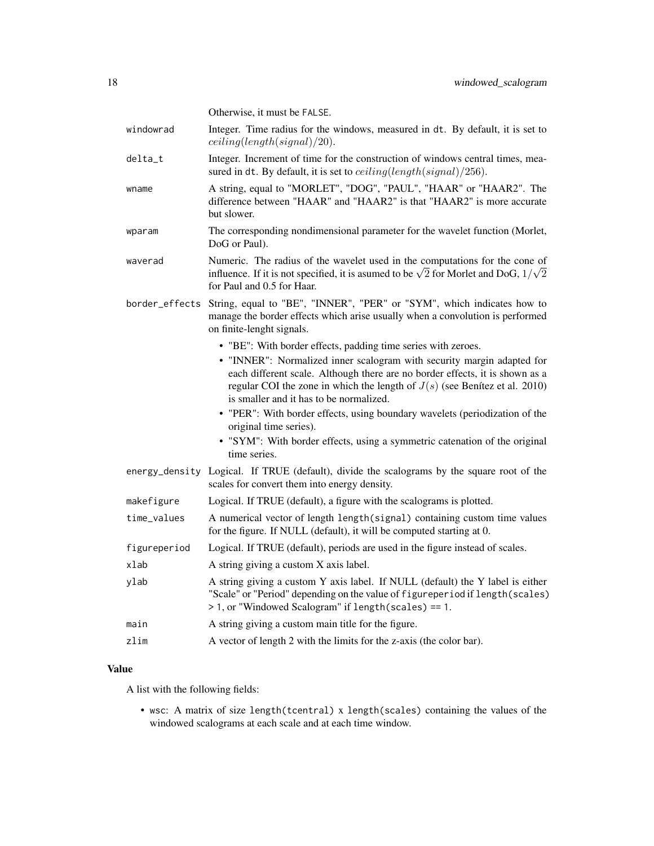|                | Otherwise, it must be FALSE.                                                                                                                                                                                                                                                      |
|----------------|-----------------------------------------------------------------------------------------------------------------------------------------------------------------------------------------------------------------------------------------------------------------------------------|
| windowrad      | Integer. Time radius for the windows, measured in dt. By default, it is set to<br>ceiling(length(signal)/20).                                                                                                                                                                     |
| delta_t        | Integer. Increment of time for the construction of windows central times, mea-<br>sured in dt. By default, it is set to $ceiling(length(signal)/256)$ .                                                                                                                           |
| wname          | A string, equal to "MORLET", "DOG", "PAUL", "HAAR" or "HAAR2". The<br>difference between "HAAR" and "HAAR2" is that "HAAR2" is more accurate<br>but slower.                                                                                                                       |
| wparam         | The corresponding nondimensional parameter for the wavelet function (Morlet,<br>DoG or Paul).                                                                                                                                                                                     |
| waverad        | Numeric. The radius of the wavelet used in the computations for the cone of<br>influence. If it is not specified, it is asumed to be $\sqrt{2}$ for Morlet and DoG, $1/\sqrt{2}$<br>for Paul and 0.5 for Haar.                                                                    |
| border_effects | String, equal to "BE", "INNER", "PER" or "SYM", which indicates how to<br>manage the border effects which arise usually when a convolution is performed<br>on finite-lenght signals.                                                                                              |
|                | • "BE": With border effects, padding time series with zeroes.                                                                                                                                                                                                                     |
|                | • "INNER": Normalized inner scalogram with security margin adapted for<br>each different scale. Although there are no border effects, it is shown as a<br>regular COI the zone in which the length of $J(s)$ (see Benítez et al. 2010)<br>is smaller and it has to be normalized. |
|                | • "PER": With border effects, using boundary wavelets (periodization of the<br>original time series).                                                                                                                                                                             |
|                | • "SYM": With border effects, using a symmetric catenation of the original<br>time series.                                                                                                                                                                                        |
|                | energy_density Logical. If TRUE (default), divide the scalograms by the square root of the<br>scales for convert them into energy density.                                                                                                                                        |
| makefigure     | Logical. If TRUE (default), a figure with the scalograms is plotted.                                                                                                                                                                                                              |
| time_values    | A numerical vector of length length(signal) containing custom time values<br>for the figure. If NULL (default), it will be computed starting at 0.                                                                                                                                |
| figureperiod   | Logical. If TRUE (default), periods are used in the figure instead of scales.                                                                                                                                                                                                     |
| xlab           | A string giving a custom X axis label.                                                                                                                                                                                                                                            |
| ylab           | A string giving a custom Y axis label. If NULL (default) the Y label is either<br>"Scale" or "Period" depending on the value of figureperiod if length (scales)<br>> 1, or "Windowed Scalogram" if length(scales) == 1.                                                           |
| main           | A string giving a custom main title for the figure.                                                                                                                                                                                                                               |
| zlim           | A vector of length 2 with the limits for the z-axis (the color bar).                                                                                                                                                                                                              |

A list with the following fields:

• wsc: A matrix of size length(tcentral) x length(scales) containing the values of the windowed scalograms at each scale and at each time window.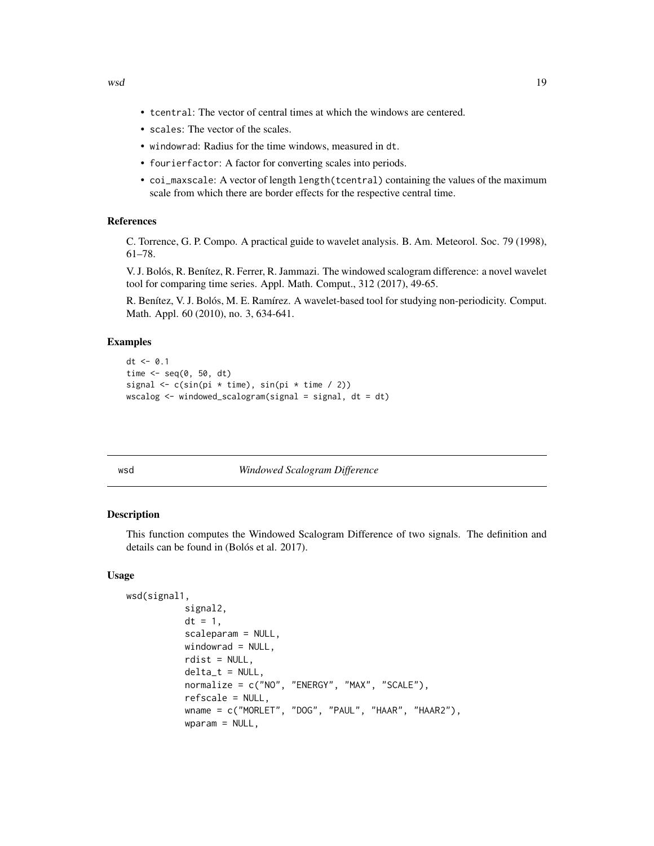- <span id="page-18-0"></span>• tcentral: The vector of central times at which the windows are centered.
- scales: The vector of the scales.
- windowrad: Radius for the time windows, measured in dt.
- fourierfactor: A factor for converting scales into periods.
- coi\_maxscale: A vector of length length (tcentral) containing the values of the maximum scale from which there are border effects for the respective central time.

#### References

C. Torrence, G. P. Compo. A practical guide to wavelet analysis. B. Am. Meteorol. Soc. 79 (1998), 61–78.

V. J. Bolós, R. Benítez, R. Ferrer, R. Jammazi. The windowed scalogram difference: a novel wavelet tool for comparing time series. Appl. Math. Comput., 312 (2017), 49-65.

R. Benítez, V. J. Bolós, M. E. Ramírez. A wavelet-based tool for studying non-periodicity. Comput. Math. Appl. 60 (2010), no. 3, 634-641.

#### Examples

```
dt < -0.1time \leq seq(0, 50, dt)
signal \leq c(sin(pi * time), sin(pi * time / 2))
wscalog <- windowed_scalogram(signal = signal, dt = dt)
```

| I<br>$\sim$<br>$\sim$ |
|-----------------------|
|-----------------------|

#### **Windowed Scalogram Difference**

#### Description

This function computes the Windowed Scalogram Difference of two signals. The definition and details can be found in (Bolós et al. 2017).

#### Usage

```
wsd(signal1,
           signal2,
           dt = 1,
           scaleparam = NULL,
           windowrad = NULL,
           rdist = NULL,delta_t = NULL,normalize = c("NO", "ENERGY", "MAX", "SCALE"),
           refscale = NULL,
           wname = c("MORLET", "DOG", "PAUL", "HAAR", "HAAR2"),
           wparam = NULL,
```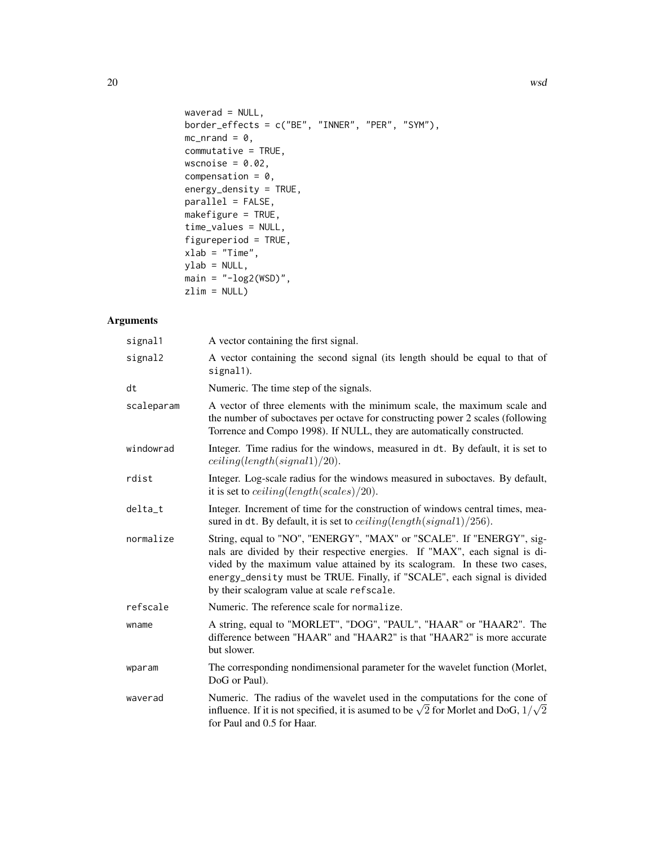```
waverad = NULL,
border_effects = c("BE", "INNER", "PER", "SYM"),
mc\_nrand = 0,
commutative = TRUE,
wscnoise = 0.02,
compensation = 0,
energy_density = TRUE,
parallel = FALSE,
makefigure = TRUE,
time_values = NULL,
figureperiod = TRUE,
xlab = "Time",
ylab = NULL,
main = "-\log2(WSD)",
zlim = NULL)
```

| signal1    | A vector containing the first signal.                                                                                                                                                                                                                                                                                                                       |
|------------|-------------------------------------------------------------------------------------------------------------------------------------------------------------------------------------------------------------------------------------------------------------------------------------------------------------------------------------------------------------|
| signal2    | A vector containing the second signal (its length should be equal to that of<br>signal1).                                                                                                                                                                                                                                                                   |
| dt         | Numeric. The time step of the signals.                                                                                                                                                                                                                                                                                                                      |
| scaleparam | A vector of three elements with the minimum scale, the maximum scale and<br>the number of suboctaves per octave for constructing power 2 scales (following<br>Torrence and Compo 1998). If NULL, they are automatically constructed.                                                                                                                        |
| windowrad  | Integer. Time radius for the windows, measured in dt. By default, it is set to<br>ceiling(length(signal1)/20).                                                                                                                                                                                                                                              |
| rdist      | Integer. Log-scale radius for the windows measured in suboctaves. By default,<br>it is set to <i>ceiling</i> ( <i>length</i> ( <i>scales</i> )/20).                                                                                                                                                                                                         |
| delta_t    | Integer. Increment of time for the construction of windows central times, mea-<br>sured in dt. By default, it is set to $ceiling(length(signal1)/256)$ .                                                                                                                                                                                                    |
| normalize  | String, equal to "NO", "ENERGY", "MAX" or "SCALE". If "ENERGY", sig-<br>nals are divided by their respective energies. If "MAX", each signal is di-<br>vided by the maximum value attained by its scalogram. In these two cases,<br>energy_density must be TRUE. Finally, if "SCALE", each signal is divided<br>by their scalogram value at scale refscale. |
| refscale   | Numeric. The reference scale for normalize.                                                                                                                                                                                                                                                                                                                 |
| wname      | A string, equal to "MORLET", "DOG", "PAUL", "HAAR" or "HAAR2". The<br>difference between "HAAR" and "HAAR2" is that "HAAR2" is more accurate<br>but slower.                                                                                                                                                                                                 |
| wparam     | The corresponding nondimensional parameter for the wavelet function (Morlet,<br>DoG or Paul).                                                                                                                                                                                                                                                               |
| waverad    | Numeric. The radius of the wavelet used in the computations for the cone of<br>influence. If it is not specified, it is asumed to be $\sqrt{2}$ for Morlet and DoG, $1/\sqrt{2}$<br>for Paul and 0.5 for Haar.                                                                                                                                              |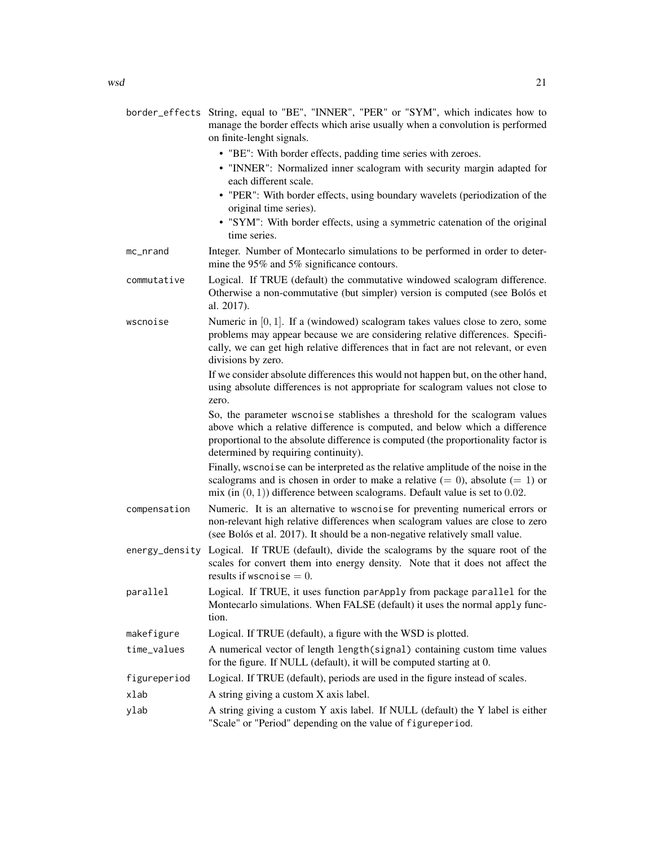|              | border_effects String, equal to "BE", "INNER", "PER" or "SYM", which indicates how to<br>manage the border effects which arise usually when a convolution is performed<br>on finite-lenght signals.                                                                                     |
|--------------|-----------------------------------------------------------------------------------------------------------------------------------------------------------------------------------------------------------------------------------------------------------------------------------------|
|              | • "BE": With border effects, padding time series with zeroes.<br>• "INNER": Normalized inner scalogram with security margin adapted for<br>each different scale.                                                                                                                        |
|              | • "PER": With border effects, using boundary wavelets (periodization of the<br>original time series).                                                                                                                                                                                   |
|              | • "SYM": With border effects, using a symmetric catenation of the original<br>time series.                                                                                                                                                                                              |
| mc_nrand     | Integer. Number of Montecarlo simulations to be performed in order to deter-<br>mine the 95% and 5% significance contours.                                                                                                                                                              |
| commutative  | Logical. If TRUE (default) the commutative windowed scalogram difference.<br>Otherwise a non-commutative (but simpler) version is computed (see Bolós et<br>al. 2017).                                                                                                                  |
| wscnoise     | Numeric in $[0, 1]$ . If a (windowed) scalogram takes values close to zero, some<br>problems may appear because we are considering relative differences. Specifi-<br>cally, we can get high relative differences that in fact are not relevant, or even<br>divisions by zero.           |
|              | If we consider absolute differences this would not happen but, on the other hand,<br>using absolute differences is not appropriate for scalogram values not close to<br>zero.                                                                                                           |
|              | So, the parameter wscnoise stablishes a threshold for the scalogram values<br>above which a relative difference is computed, and below which a difference<br>proportional to the absolute difference is computed (the proportionality factor is<br>determined by requiring continuity). |
|              | Finally, wschoise can be interpreted as the relative amplitude of the noise in the<br>scalograms and is chosen in order to make a relative $(= 0)$ , absolute $(= 1)$ or<br>mix (in $(0, 1)$ ) difference between scalograms. Default value is set to 0.02.                             |
| compensation | Numeric. It is an alternative to wscnoise for preventing numerical errors or<br>non-relevant high relative differences when scalogram values are close to zero<br>(see Bolós et al. 2017). It should be a non-negative relatively small value.                                          |
|              | energy_density Logical. If TRUE (default), divide the scalograms by the square root of the<br>scales for convert them into energy density. Note that it does not affect the<br>results if wschoise $= 0$ .                                                                              |
| narallal     | Logical If TRUE it uses function paranoly from package parallel for the                                                                                                                                                                                                                 |

parallel Logical. If TRUE, it uses function parApply from package parallel for the Montecarlo simulations. When FALSE (default) it uses the normal apply function.

makefigure Logical. If TRUE (default), a figure with the WSD is plotted.

- time\_values A numerical vector of length length(signal) containing custom time values for the figure. If NULL (default), it will be computed starting at 0.
- figureperiod Logical. If TRUE (default), periods are used in the figure instead of scales.
- xlab A string giving a custom X axis label.
- ylab A string giving a custom Y axis label. If NULL (default) the Y label is either "Scale" or "Period" depending on the value of figureperiod.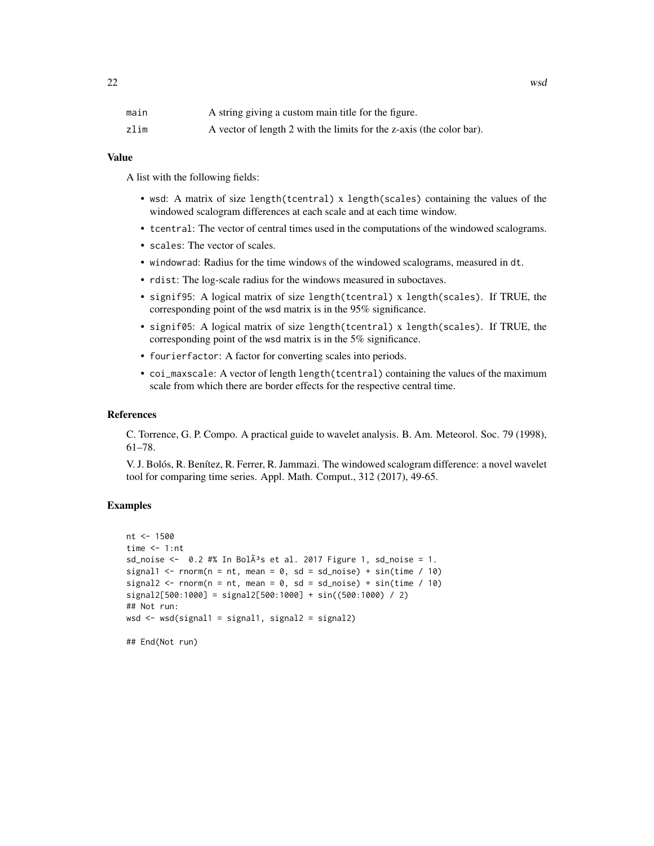| main | A string giving a custom main title for the figure.                  |
|------|----------------------------------------------------------------------|
| zlim | A vector of length 2 with the limits for the z-axis (the color bar). |

A list with the following fields:

- wsd: A matrix of size length(tcentral) x length(scales) containing the values of the windowed scalogram differences at each scale and at each time window.
- tcentral: The vector of central times used in the computations of the windowed scalograms.
- scales: The vector of scales.
- windowrad: Radius for the time windows of the windowed scalograms, measured in dt.
- rdist: The log-scale radius for the windows measured in suboctaves.
- signif95: A logical matrix of size length(tcentral) x length(scales). If TRUE, the corresponding point of the wsd matrix is in the 95% significance.
- signif05: A logical matrix of size length(tcentral) x length(scales). If TRUE, the corresponding point of the wsd matrix is in the 5% significance.
- fourierfactor: A factor for converting scales into periods.
- coi\_maxscale: A vector of length length(tcentral) containing the values of the maximum scale from which there are border effects for the respective central time.

#### References

C. Torrence, G. P. Compo. A practical guide to wavelet analysis. B. Am. Meteorol. Soc. 79 (1998), 61–78.

V. J. Bolós, R. Benítez, R. Ferrer, R. Jammazi. The windowed scalogram difference: a novel wavelet tool for comparing time series. Appl. Math. Comput., 312 (2017), 49-65.

#### Examples

```
nt <- 1500
time <-1:nt
sd_noise <- 0.2 #% In Bol\tilde{A}<sup>3</sup>s et al. 2017 Figure 1, sd_noise = 1.
signal1 <- rnorm(n = nt, mean = 0, sd = sd_noise) + sin(time / 10)
signal2 \le rnorm(n = nt, mean = 0, sd = sd_noise) + sin(time / 10)
signal2[500:1000] = signal2[500:1000] + sin((500:1000) / 2)
## Not run:
wsd <- wsd(signal1 = signal1, signal2 = signal2)
```

```
## End(Not run)
```